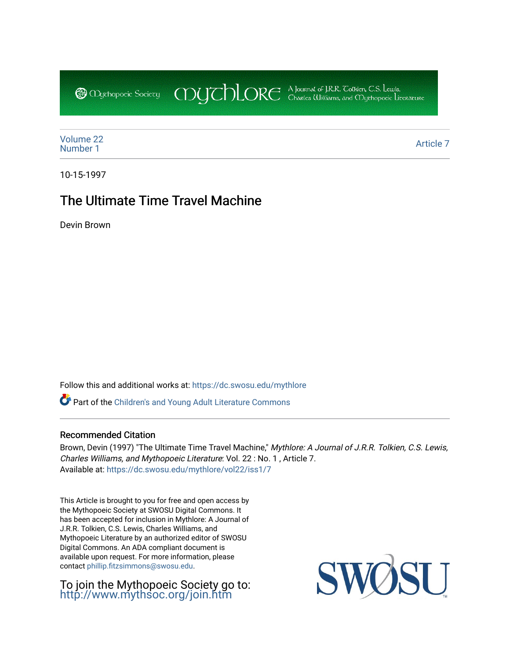CDUCHLORE A Journal of J.R.R. Coltien, C.S. Lewis,<br>CDUCHLORE Charles Williams, and Obyethopoeic Literacure **@** *Oychopoeic* Sociecy

[Volume 22](https://dc.swosu.edu/mythlore/vol22) [Number 1](https://dc.swosu.edu/mythlore/vol22/iss1) [Article 7](https://dc.swosu.edu/mythlore/vol22/iss1/7) Article 7 Article 7 Article 7 Article 7 Article 7 Article 7 Article 7 Article 7 Article 7 Article 7 Article 7 Article 7 Article 7 Article 7 Article 7 Article 7 Article 7 Article 7 Article 7 Article 7 Art

10-15-1997

## The Ultimate Time Travel Machine

Devin Brown

Follow this and additional works at: [https://dc.swosu.edu/mythlore](https://dc.swosu.edu/mythlore?utm_source=dc.swosu.edu%2Fmythlore%2Fvol22%2Fiss1%2F7&utm_medium=PDF&utm_campaign=PDFCoverPages) 

Part of the [Children's and Young Adult Literature Commons](http://network.bepress.com/hgg/discipline/1289?utm_source=dc.swosu.edu%2Fmythlore%2Fvol22%2Fiss1%2F7&utm_medium=PDF&utm_campaign=PDFCoverPages) 

#### Recommended Citation

Brown, Devin (1997) "The Ultimate Time Travel Machine," Mythlore: A Journal of J.R.R. Tolkien, C.S. Lewis, Charles Williams, and Mythopoeic Literature: Vol. 22 : No. 1 , Article 7. Available at: [https://dc.swosu.edu/mythlore/vol22/iss1/7](https://dc.swosu.edu/mythlore/vol22/iss1/7?utm_source=dc.swosu.edu%2Fmythlore%2Fvol22%2Fiss1%2F7&utm_medium=PDF&utm_campaign=PDFCoverPages) 

This Article is brought to you for free and open access by the Mythopoeic Society at SWOSU Digital Commons. It has been accepted for inclusion in Mythlore: A Journal of J.R.R. Tolkien, C.S. Lewis, Charles Williams, and Mythopoeic Literature by an authorized editor of SWOSU Digital Commons. An ADA compliant document is available upon request. For more information, please contact [phillip.fitzsimmons@swosu.edu.](mailto:phillip.fitzsimmons@swosu.edu)

To join the Mythopoeic Society go to: <http://www.mythsoc.org/join.htm>

SU SWO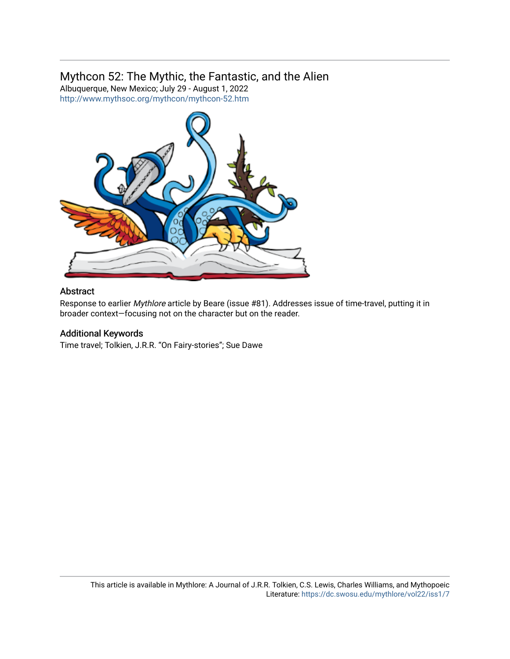### Mythcon 52: The Mythic, the Fantastic, and the Alien

Albuquerque, New Mexico; July 29 - August 1, 2022 <http://www.mythsoc.org/mythcon/mythcon-52.htm>



#### Abstract

Response to earlier Mythlore article by Beare (issue #81). Addresses issue of time-travel, putting it in broader context—focusing not on the character but on the reader.

#### Additional Keywords

Time travel; Tolkien, J.R.R. "On Fairy-stories"; Sue Dawe